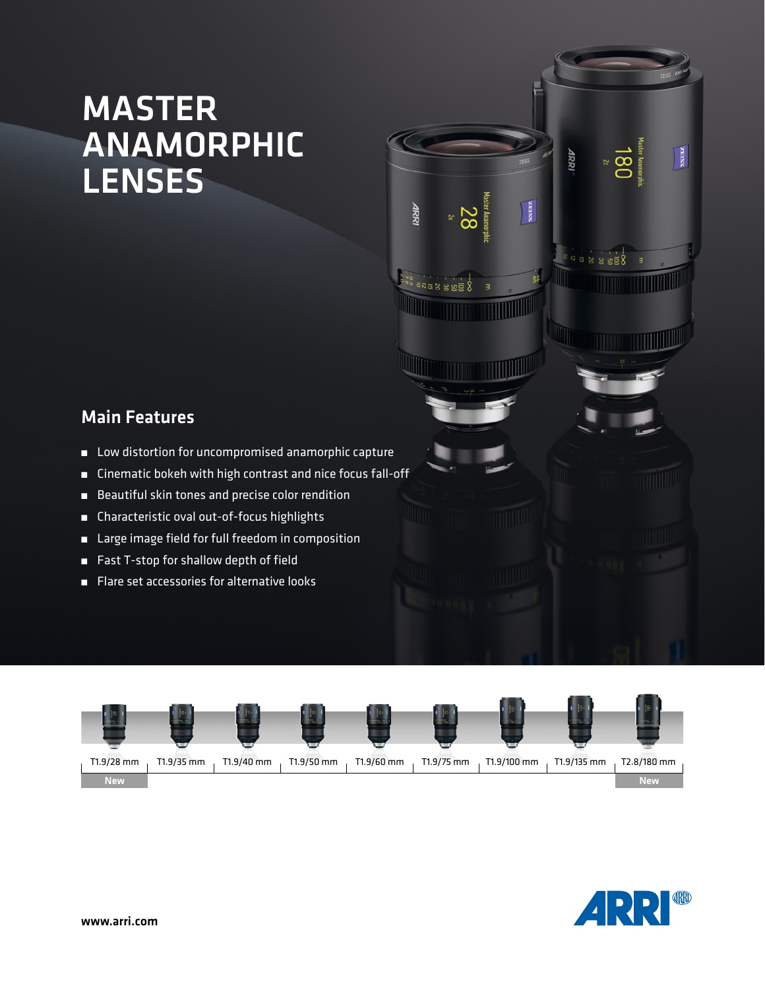## MASTER ANAMORPHIC LENSES

## Main Features

- Low distortion for uncompromised anamorphic capture
- Cinematic bokeh with high contrast and nice focus fall-off
- Beautiful skin tones and precise color rendition
- Characteristic oval out-of-focus highlights
- Large image field for full freedom in composition
- Fast T-stop for shallow depth of field
- Flare set accessories for alternative looks





 $\frac{1}{2}$ 

4RR

 $8.888$ 

**TITULI** 

ssiaz

TITTIIN

**TELEVISION NEWSFILM** 

ARRI